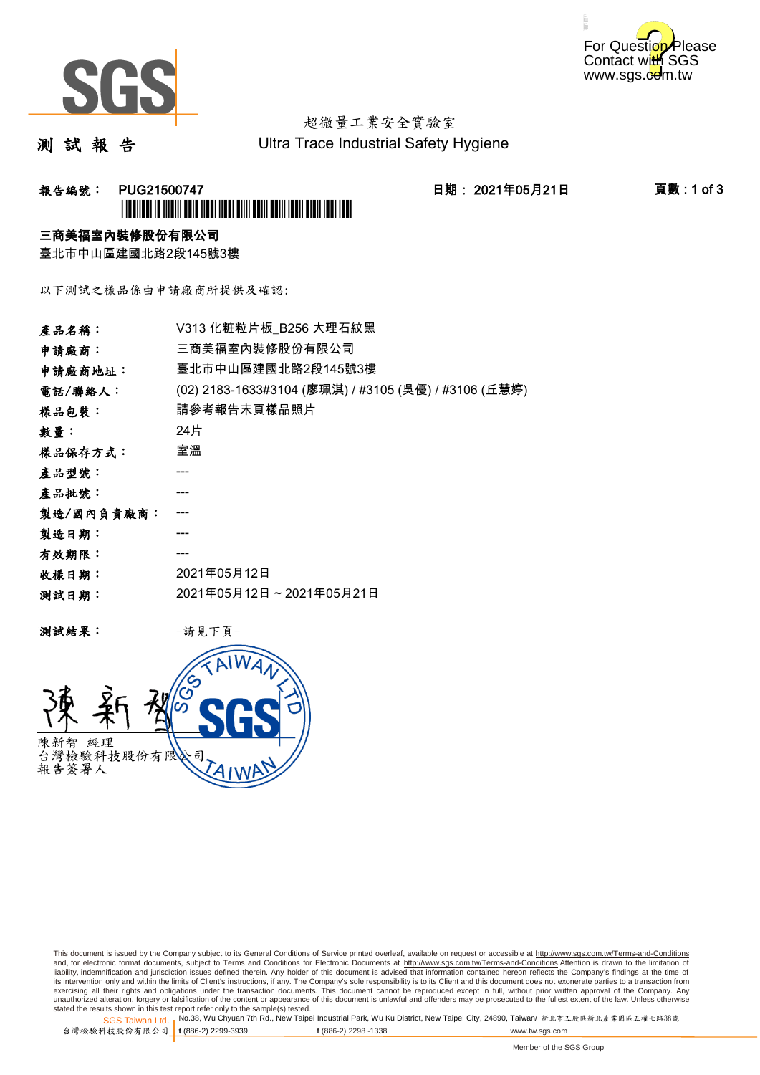



# 超微量工業安全實驗室

測 試 報 告

Ultra Trace Industrial Safety Hygiene

## **報告編號: PUG21500747 日期: 2021年05月21日 頁數:1 of 3** \*PUG21500747\*

### 三商美福室內裝修股份有限公司

臺北市中山區建國北路2段145號3樓

以下測試之樣品係由申請廠商所提供及確認:

| 產品名稱:      | V313 化粧粒片板 B256 大理石紋黑                                |  |  |
|------------|------------------------------------------------------|--|--|
| 申請廠商:      | 三商美福室內裝修股份有限公司                                       |  |  |
| 申請廠商地址:    | 臺北市中山區建國北路2段145號3樓                                   |  |  |
| 電話/聯絡人:    | (02) 2183-1633#3104 (廖珮淇) / #3105 (吳優) / #3106 (丘慧婷) |  |  |
| 樣品包裝:      | 請參考報告末頁樣品照片                                          |  |  |
| 數量:        | 24片                                                  |  |  |
| 樣品保存方式:    | 室溫                                                   |  |  |
| 產品型號:      | ---                                                  |  |  |
| 產品批號:      |                                                      |  |  |
| 製造/國內負責廠商: |                                                      |  |  |
| 製造日期:      |                                                      |  |  |
| 有效期限:      | ---                                                  |  |  |
| 收樣日期:      | 2021年05月12日                                          |  |  |
| 测試日期:      | 2021年05月12日~2021年05月21日                              |  |  |

测試結果: 一請見下頁



This document is issued by the Company subject to its General Conditions of Service printed overleaf, available on request or accessible at http://www.sgs.com.tw/Terms-and-Conditions and, for electronic format documents, subject to Terms and Conditions for Electronic Documents at <u>http://www.sgs.com.tw/Terms-and-Conditions</u>.Attention is drawn to the limitation of<br>liability, indemnification and jurisdic exercising all their rights and obligations under the transaction documents. This document cannot be reproduced except in full, without prior written approval of the Company. Any<br>unauthorized alteration, forgery or falsifi

SGS Taiwan Ltd. 1 stated the results shown in this test report refer only to the sample(s) tested.<br>Stated the results shown in this test report refer only to the sample(s) tested.

台灣檢驗科技股份有限公司

**t** (886-2) 2299-3939 **f** (886-2) 2298 -1338 www.tw.sgs.com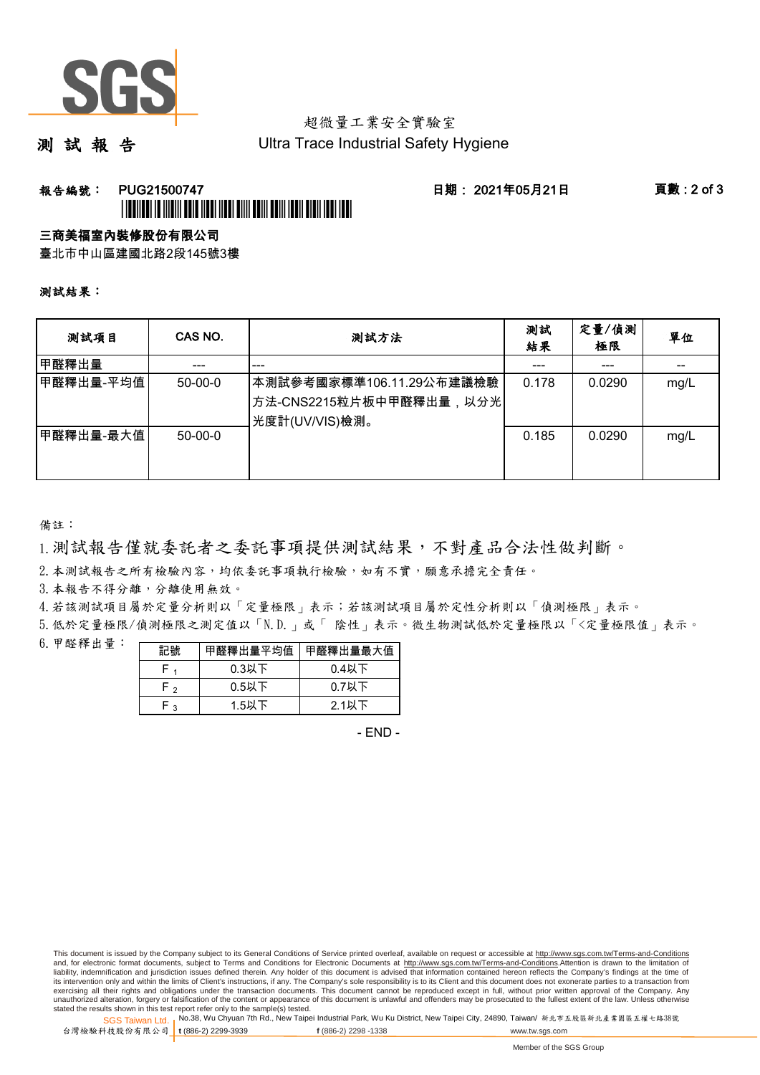

## 超微量工業安全實驗室

測 試 報 告

Ultra Trace Industrial Safety Hygiene

### 報告編號: PUG21500747 日期: 2021年05月21日 頁數 : 2 of 3 \*PUGATION AND AND A CONTROL TO A CHARGE OF A CHARGE OF A CHARGE OF A

### 三商美福室內裝修股份有限公司

臺北市中山區建國北路2段145號3樓

#### 測試結果:

| 测試項目       | CAS NO.   | 测試方法                                                                  | 測試<br>結果 | 定量/偵測<br>極限 | 單位   |
|------------|-----------|-----------------------------------------------------------------------|----------|-------------|------|
| 甲醛釋出量      | ---       | ---                                                                   | ---      | ---         |      |
| ┃甲醛釋出量-平均值 | $50-00-0$ | 本測試參考國家標準106.11.29公布建議檢驗<br>方法-CNS2215粒片板中甲醛釋出量,以分光<br>光度計(UV/VIS)檢測。 | 0.178    | 0.0290      | mg/L |
| 甲醛釋出量-最大值  | $50-00-0$ |                                                                       | 0.185    | 0.0290      | mg/L |

備註:

1.測試報告僅就委託者之委託事項提供測試結果,不對產品合法性做判斷。

2. 本測試報告之所有檢驗內容,均依委託事項執行檢驗,如有不實,願意承擔完全責任。

3. 本報告不得分離,分離使用無效。

4.若該測試項目屬於定量分析則以「定量極限」表示;若該測試項目屬於定性分析則以「偵測極限」表示。

5.低於定量極限/偵測極限之測定值以「N.D.」或「 陰性」表示。微生物測試低於定量極限以「<定量極限值」表示。

6.甲醛釋出量:

| 記號   | 甲醛釋出量平均值 | 甲醛釋出量最大值 |
|------|----------|----------|
|      | $0.3$ 以下 | $0.4$ 以下 |
| ه ۲  | $0.5$ 以下 | $0.7$ 以下 |
| ہ -ا | $1.5$ 以下 | $2.1$ 以下 |

- END -

This document is issued by the Company subject to its General Conditions of Service printed overleaf, available on request or accessible at http://www.sgs.com.tw/Terms-and-Conditions and, for electronic format documents, subject to Terms and Conditions for Electronic Documents at http://www.sgs.com.tw/Terms-and-Conditions.Attention is drawn to the limitation of liability, indemnification and jurisdiction issues defined therein. Any holder of this document is advised that information contained hereon reflects the Company's findings at the time of<br>its intervention only and within t exercising all their rights and obligations under the transaction documents. This document cannot be reproduced except in full, without prior written approval of the Company. Any<br>unauthorized alteration, forgery or falsifi

SGS Taiwan Ltd. 1 stated the results shown in this test report refer only to the sample(s) tested.<br>Stated the results shown in this test report refer only to the sample(s) tested.

台灣檢驗科技股份有限公司

**t** (886-2) 2299-3939 **f** (886-2) 2298 -1338 www.tw.sgs.com